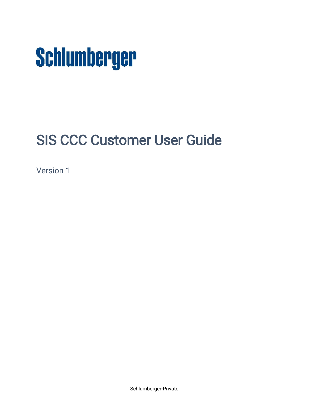

# SIS CCC Customer User Guide

Version 1

Schlumberger-Private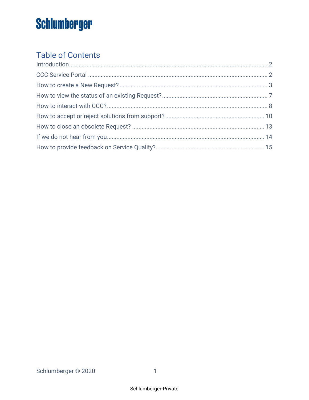## **Table of Contents**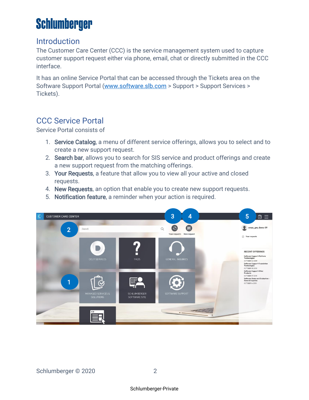### <span id="page-2-0"></span>Introduction

The Customer Care Center (CCC) is the service management system used to capture customer support request either via phone, email, chat or directly submitted in the CCC interface.

It has an online Service Portal that can be accessed through the Tickets area on the Software Support Portal [\(www.software.slb.com](http://www.software.slb.com/) > Support > Support Services > Tickets).

### <span id="page-2-1"></span>CCC Service Portal

Service Portal consists of

- 1. Service Catalog, a menu of different service offerings, allows you to select and to create a new support request.
- 2. Search bar, allows you to search for SIS service and product offerings and create a new support request from the matching offerings.
- 3. Your Requests, a feature that allow you to view all your active and closed requests.
- 4. New Requests, an option that enable you to create new support requests.
- 5. Notification feature, a reminder when your action is required.

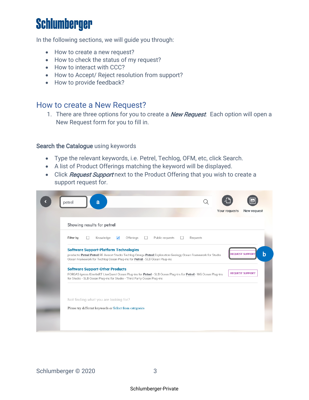In the following sections, we will guide you through:

- How to create a new request?
- How to check the status of my request?
- How to interact with CCC?
- How to Accept/ Reject resolution from support?
- How to provide feedback?

#### <span id="page-3-0"></span>How to create a New Request?

1. There are three options for you to create a **New Request**. Each option will open a New Request form for you to fill in.

#### Search the Catalogue using keywords

- Type the relevant keywords, i.e. Petrel, Techlog, OFM, etc, click Search.
- A list of Product Offerings matching the keyword will be displayed.
- Click Request Support next to the Product Offering that you wish to create a support request for.

|           | Showing results for petrel                                                                                                                                                                 |                                      |                 |          |                        |  |
|-----------|--------------------------------------------------------------------------------------------------------------------------------------------------------------------------------------------|--------------------------------------|-----------------|----------|------------------------|--|
| Filter by | Knowledge                                                                                                                                                                                  | $\overline{\mathbf{v}}$<br>Offerings | Public requests | Requests |                        |  |
|           | <b>Software Support-Platform Technologies</b>                                                                                                                                              |                                      |                 |          |                        |  |
|           | products: Petrel Petrel RE Avocet Studio Techlog Omega Petrel Exploration Geology Ocean Framework for Studio<br>Ocean Framework for Techlog Ocean Plug-ins for Petrel - SLB Ocean Plug-ins |                                      |                 |          | <b>REQUEST SUPPOR</b>  |  |
|           | <b>Software Support-Other Products</b>                                                                                                                                                     |                                      |                 |          |                        |  |
|           | FORGAS Igeoss KinetixRT LiveQuest Ocean Plug-ins for Petrel - SLB Ocean Plug-ins for Petrel - WG Ocean Plug-ins<br>for Studio - SLB Ocean Plug-ins for Studio - Third Party Ocean Plug-ins |                                      |                 |          | <b>REQUEST SUPPORT</b> |  |
|           |                                                                                                                                                                                            |                                      |                 |          |                        |  |
|           | Not finding what you are looking for?                                                                                                                                                      |                                      |                 |          |                        |  |
|           | Please try different keywords or Select from categories                                                                                                                                    |                                      |                 |          |                        |  |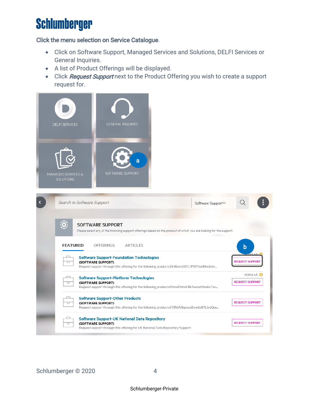#### Click the menu selection on Service Catalogue.

- Click on Software Support, Managed Services and Solutions, DELFI Services or General Inquiries.
- A list of Product Offerings will be displayed.
- Click Request Support next to the Product Offering you wish to create a support request for.

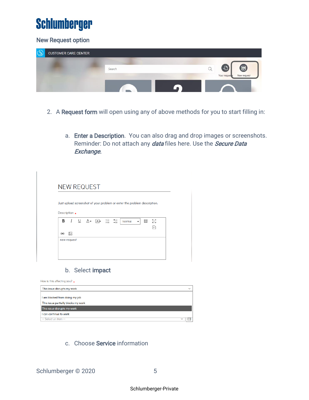#### New Request option

| $\sqrt{C}$ | <b>CUSTOMER CARE CENTER</b> |        |                                         |
|------------|-----------------------------|--------|-----------------------------------------|
|            |                             |        |                                         |
|            |                             | Search | 문<br>Ø                                  |
|            |                             |        | Your reques <sup>5</sup><br>New request |
|            |                             |        |                                         |

- 2. A Request form will open using any of above methods for you to start filling in:
	- a. Enter a Description. You can also drag and drop images or screenshots. Reminder: Do not attach any *data* files here. Use the *Secure Data* Exchange.

|   |                 |                                                 |  | Just upload screenshot of your problem or enter the problem description. |                |   |                     |
|---|-----------------|-------------------------------------------------|--|--------------------------------------------------------------------------|----------------|---|---------------------|
|   |                 |                                                 |  |                                                                          |                |   |                     |
|   | Description $*$ |                                                 |  |                                                                          |                |   |                     |
|   |                 | <b>B</b> $I$ $\cup$ $A$ - $A$ - $\frac{1}{2}$ : |  | Normal                                                                   | $\blacksquare$ | 囲 | ΚŊ                  |
|   |                 |                                                 |  |                                                                          |                |   | $\overline{\bf{6}}$ |
| œ | ∽               |                                                 |  |                                                                          |                |   |                     |
|   | new request     |                                                 |  |                                                                          |                |   |                     |

#### b. Select impact

| How is this affecting you? $\star$  |              |
|-------------------------------------|--------------|
| This issue disrupts my work         | $\checkmark$ |
| I am blocked from doing my job      |              |
| This issue partially blocks my work |              |
| This issue disrupts my work         |              |
| I can continue to work              |              |
| -- Select an item --                |              |

#### c. Choose Service information

Schlumberger © 2020 5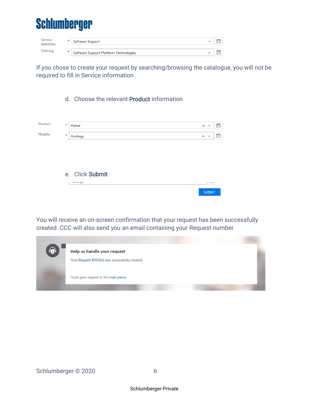

| service  | Software Support                           |  |
|----------|--------------------------------------------|--|
| )ffering | <br>Software Support-Platform Technologies |  |

If you chose to create your request by searching/browsing the catalogue, you will not be required to fill in Service information

#### d. Choose the relevant Product information

|  | × | $\sim$ |  |
|--|---|--------|--|
|  | × |        |  |
|  |   |        |  |

#### e. Click Submit

| Arnin Al | $\sim$ $\sim$ |  |
|----------|---------------|--|
|          | <b>SUBMIT</b> |  |

You will receive an on-screen confirmation that your request has been successfully created. CCC will also send you an email containing your Request number.

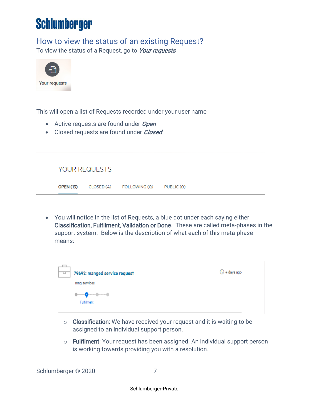### <span id="page-7-0"></span>How to view the status of an existing Request?

To view the status of a Request, go to Your requests



This will open a list of Requests recorded under your user name

- Active requests are found under Open
- Closed requests are found under *Closed*

|                  | YOUR REQUESTS |                                     |  |  |
|------------------|---------------|-------------------------------------|--|--|
| <b>OPEN (13)</b> |               | CLOSED (4) FOLLOWING (0) PUBLIC (0) |  |  |

• You will notice in the list of Requests, a blue dot under each saying either Classification, Fulfilment, Validation or Done. These are called meta-phases in the support system. Below is the description of what each of this meta-phase means:



- $\circ$  **Classification**: We have received your request and it is waiting to be assigned to an individual support person.
- o Fulfilment: Your request has been assigned. An individual support person is working towards providing you with a resolution.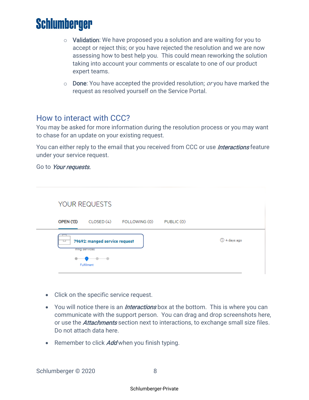- $\circ$  Validation: We have proposed you a solution and are waiting for you to accept or reject this; or you have rejected the resolution and we are now assessing how to best help you. This could mean reworking the solution taking into account your comments or escalate to one of our product expert teams.
- $\circ$  Done: You have accepted the provided resolution; *or* you have marked the request as resolved yourself on the Service Portal.

#### <span id="page-8-0"></span>How to interact with CCC?

You may be asked for more information during the resolution process or you may want to chase for an update on your existing request.

You can either reply to the email that you received from CCC or use *Interactions* feature under your service request.

Go to Your requests.

| YOUR REQUESTS                                           |              |
|---------------------------------------------------------|--------------|
| <b>OPEN (13)</b><br>CLOSED (4) FOLLOWING (0) PUBLIC (0) |              |
|                                                         |              |
| 79692: manged service request<br>mng services           | ◯ 4 days ago |

- Click on the specific service request.
- You will notice there is an *Interactions* box at the bottom. This is where you can communicate with the support person. You can drag and drop screenshots here, or use the *Attachments* section next to interactions, to exchange small size files. Do not attach data here.
- Remember to click **Add** when you finish typing.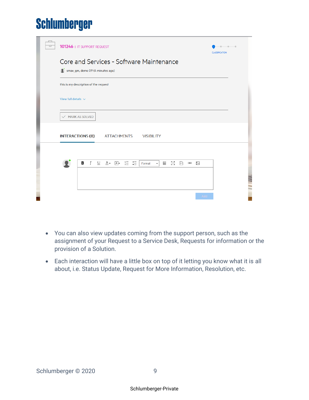| □ | 101246   IT SUPPORT REQUEST                                                                                                                                                                  | <b>CLASSIFICATION</b> |
|---|----------------------------------------------------------------------------------------------------------------------------------------------------------------------------------------------|-----------------------|
|   | Core and Services - Software Maintenance<br>Smax_gm, demo 09 (4 minutes ago)                                                                                                                 |                       |
|   | this is my description of the request                                                                                                                                                        |                       |
|   | View full details $\sqrt{}$                                                                                                                                                                  |                       |
|   | $\vee$ MARK AS SOLVED                                                                                                                                                                        |                       |
|   | <b>INTERACTIONS (0)</b><br><b>ATTACHMENTS</b><br><b>VISIBILITY</b>                                                                                                                           |                       |
|   |                                                                                                                                                                                              |                       |
|   | $I \quad \underline{\cup} \quad \underline{\mathsf{A}}$ - $\underline{\mathsf{A}}$ - $\frac{1}{2}$ :<br>в<br>ΚŊ<br>Κ<br>$\leftrightarrow$<br>$\overline{a}$<br>圛<br>Format<br>$\blacksquare$ |                       |
|   |                                                                                                                                                                                              | S N                   |
|   | Add                                                                                                                                                                                          |                       |

- You can also view updates coming from the support person, such as the assignment of your Request to a Service Desk, Requests for information or the provision of a Solution.
- Each interaction will have a little box on top of it letting you know what it is all about, i.e. Status Update, Request for More Information, Resolution, etc.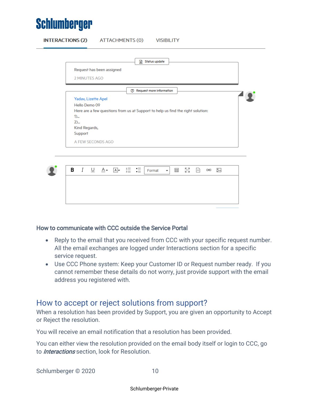

|      | Status update<br>₽                                                              |
|------|---------------------------------------------------------------------------------|
|      | Request has been assigned                                                       |
|      | 2 MINUTES AGO                                                                   |
|      |                                                                                 |
|      | 7 Request more information                                                      |
|      | Yadav, Lizette Apel                                                             |
|      | Hello Demo 09                                                                   |
|      | Here are a few questions from us at Support to help us find the right solution: |
| $1)$ |                                                                                 |
|      | $2)$                                                                            |
|      | Kind Regards,                                                                   |
|      | Support                                                                         |
|      |                                                                                 |
|      | A FEW SECONDS AGO                                                               |

#### How to communicate with CCC outside the Service Portal

- Reply to the email that you received from CCC with your specific request number. All the email exchanges are logged under Interactions section for a specific service request.
- Use CCC Phone system: Keep your Customer ID or Request number ready. If you cannot remember these details do not worry, just provide support with the email address you registered with.

#### <span id="page-10-0"></span>How to accept or reject solutions from support?

When a resolution has been provided by Support, you are given an opportunity to Accept or Reject the resolution.

You will receive an email notification that a resolution has been provided.

You can either view the resolution provided on the email body itself or login to CCC, go to *Interactions* section, look for Resolution.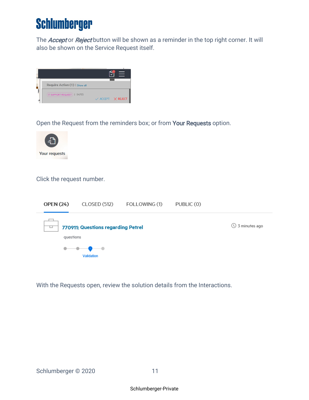The **Accept or Reject** button will be shown as a reminder in the top right corner. It will also be shown on the Service Request itself.



Open the Request from the reminders box; or from Your Requests option.



#### Click the request number.



With the Requests open, review the solution details from the Interactions.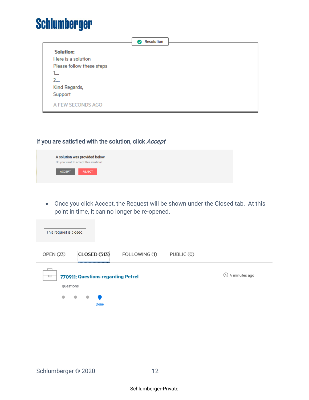|                           | Resolution<br>$\bullet$ |  |
|---------------------------|-------------------------|--|
| <b>Solution:</b>          |                         |  |
| Here is a solution        |                         |  |
| Please follow these steps |                         |  |
| 1<br>1                    |                         |  |
| 2                         |                         |  |
| Kind Regards,             |                         |  |
| Support                   |                         |  |
| A FEW SECONDS AGO         |                         |  |

#### If you are satisfied with the solution, click Accept



• Once you click Accept, the Request will be shown under the Closed tab. At this point in time, it can no longer be re-opened.

| This request is closed.                              |               |            |                               |
|------------------------------------------------------|---------------|------------|-------------------------------|
| <b>OPEN (23)</b><br><b>CLOSED (513)</b>              | FOLLOWING (1) | PUBLIC (0) |                               |
| 770911: Questions regarding Petrel<br>▭<br>questions |               |            | $\left(\right)$ 4 minutes ago |
| Done                                                 |               |            |                               |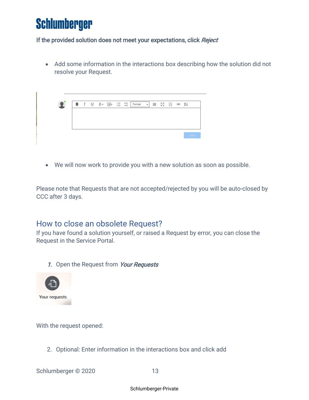#### If the provided solution does not meet your expectations, click Reject

• Add some information in the interactions box describing how the solution did not resolve your Request.



• We will now work to provide you with a new solution as soon as possible.

Please note that Requests that are not accepted/rejected by you will be auto-closed by CCC after 3 days.

### <span id="page-13-0"></span>How to close an obsolete Request?

If you have found a solution yourself, or raised a Request by error, you can close the Request in the Service Portal.

1. Open the Request from Your Requests



With the request opened:

2. Optional: Enter information in the interactions box and click add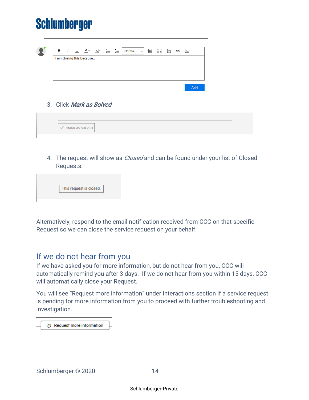

| I am closing this because |  |
|---------------------------|--|
|                           |  |
|                           |  |
|                           |  |
|                           |  |
|                           |  |
|                           |  |

3. Click Mark as Solved

4. The request will show as *Closed* and can be found under your list of Closed Requests.

| This request is closed. |
|-------------------------|

Alternatively, respond to the email notification received from CCC on that specific Request so we can close the service request on your behalf.

### <span id="page-14-0"></span>If we do not hear from you

If we have asked you for more information, but do not hear from you, CCC will automatically remind you after 3 days. If we do not hear from you within 15 days, CCC will automatically close your Request.

You will see "Request more information" under Interactions section if a service request is pending for more information from you to proceed with further troubleshooting and investigation.

**7** Request more information